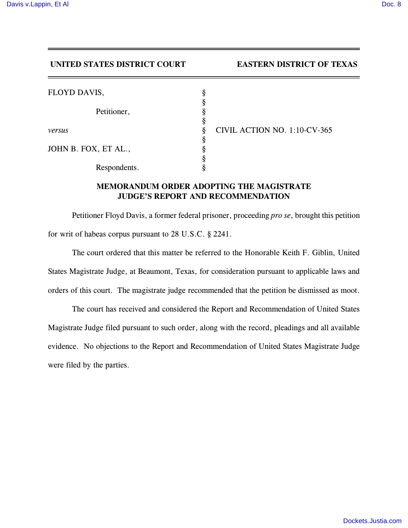## **UNITED STATES DISTRICT COURT EASTERN DISTRICT OF TEXAS**

| FLOYD DAVIS,         | ş           |              |
|----------------------|-------------|--------------|
| Petitioner,          | ş<br>ş<br>ş |              |
| versus               | ş           | <b>CIVII</b> |
| JOHN B. FOX, ET AL., | ş<br>8      |              |
| Respondents.         | 8           |              |

*versus* § CIVIL ACTION NO. 1:10-CV-365

## **MEMORANDUM ORDER ADOPTING THE MAGISTRATE JUDGE'S REPORT AND RECOMMENDATION**

Petitioner Floyd Davis, a former federal prisoner, proceeding *pro se*, brought this petition for writ of habeas corpus pursuant to 28 U.S.C. § 2241.

The court ordered that this matter be referred to the Honorable Keith F. Giblin, United States Magistrate Judge, at Beaumont, Texas, for consideration pursuant to applicable laws and orders of this court. The magistrate judge recommended that the petition be dismissed as moot.

The court has received and considered the Report and Recommendation of United States Magistrate Judge filed pursuant to such order, along with the record, pleadings and all available evidence. No objections to the Report and Recommendation of United States Magistrate Judge were filed by the parties.